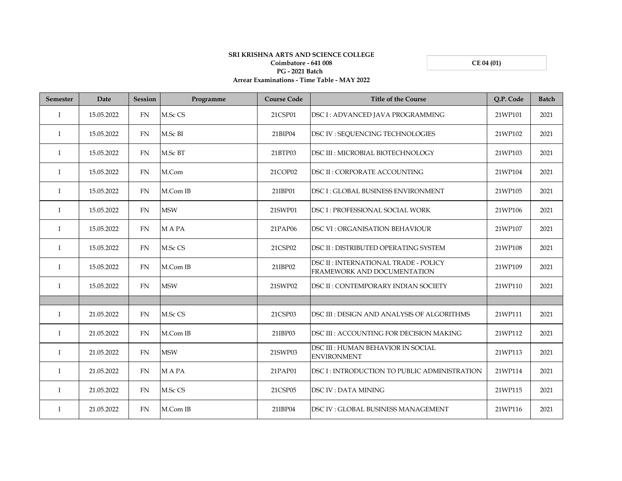**CE 04 (01)**

## **SRI KRISHNA ARTS AND SCIENCE COLLEGE Coimbatore - 641 008 PG - 2021 Batch Arrear Examinations - Time Table - MAY 2022**

| <b>Semester</b> | Date       | <b>Session</b> | Programme   | <b>Course Code</b> | <b>Title of the Course</b>                                           | Q.P. Code | <b>Batch</b> |
|-----------------|------------|----------------|-------------|--------------------|----------------------------------------------------------------------|-----------|--------------|
| $\mathbf I$     | 15.05.2022 | FN             | M.Sc CS     | 21CSP01            | DSC I: ADVANCED JAVA PROGRAMMING                                     | 21WP101   | 2021         |
| Ι.              | 15.05.2022 | FN             | M.Sc BI     | 21BIP04            | DSC IV : SEQUENCING TECHNOLOGIES                                     | 21WP102   | 2021         |
| Ι.              | 15.05.2022 | FN             | M.Sc BT     | 21BTP03            | DSC III : MICROBIAL BIOTECHNOLOGY                                    | 21WP103   | 2021         |
| $\mathbf I$     | 15.05.2022 | FN             | M.Com       | 21COP02            | <b>DSC II: CORPORATE ACCOUNTING</b>                                  | 21WP104   | 2021         |
| T               | 15.05.2022 | FN             | M.Com IB    | 21IBP01            | <b>DSC I: GLOBAL BUSINESS ENVIRONMENT</b>                            | 21WP105   | 2021         |
| T               | 15.05.2022 | FN             | <b>MSW</b>  | 21SWP01            | DSC I : PROFESSIONAL SOCIAL WORK                                     | 21WP106   | 2021         |
| $\mathbf I$     | 15.05.2022 | FN             | <b>MAPA</b> | 21PAP06            | <b>DSC VI: ORGANISATION BEHAVIOUR</b>                                | 21WP107   | 2021         |
| $\mathbf{I}$    | 15.05.2022 | FN             | M.Sc CS     | 21CSP02            | DSC II : DISTRIBUTED OPERATING SYSTEM                                | 21WP108   | 2021         |
| $\mathbf{I}$    | 15.05.2022 | <b>FN</b>      | M.Com IB    | 21IBP02            | DSC II : INTERNATIONAL TRADE - POLICY<br>FRAMEWORK AND DOCUMENTATION | 21WP109   | 2021         |
| I               | 15.05.2022 | FN             | <b>MSW</b>  | 21SWP02            | DSC II : CONTEMPORARY INDIAN SOCIETY                                 | 21WP110   | 2021         |
|                 |            |                |             |                    |                                                                      |           |              |
| $\mathbf I$     | 21.05.2022 | FN             | M.Sc CS     | 21CSP03            | DSC III : DESIGN AND ANALYSIS OF ALGORITHMS                          | 21WP111   | 2021         |
| $\bf{I}$        | 21.05.2022 | FN             | M.Com IB    | 21IBP03            | DSC III : ACCOUNTING FOR DECISION MAKING                             | 21WP112   | 2021         |
| T               | 21.05.2022 | FN             | <b>MSW</b>  | 21SWP03            | DSC III : HUMAN BEHAVIOR IN SOCIAL<br><b>ENVIRONMENT</b>             | 21WP113   | 2021         |
| $\mathbf I$     | 21.05.2022 | FN             | M A PA      | 21PAP01            | DSC I: INTRODUCTION TO PUBLIC ADMINISTRATION                         | 21WP114   | 2021         |
| I               | 21.05.2022 | FN             | M.Sc CS     | 21CSP05            | <b>DSC IV: DATA MINING</b>                                           | 21WP115   | 2021         |
| T               | 21.05.2022 | FN             | M.Com IB    | 21IBP04            | <b>DSC IV: GLOBAL BUSINESS MANAGEMENT</b>                            | 21WP116   | 2021         |